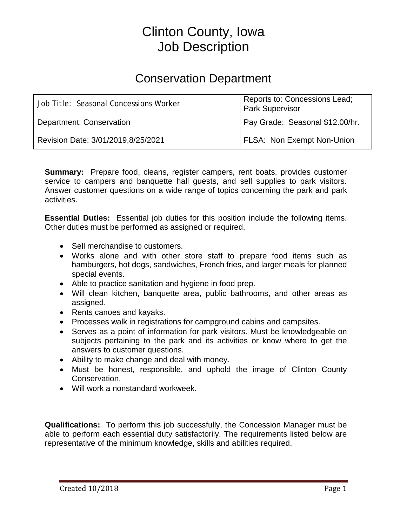# Clinton County, Iowa Job Description

## Conservation Department

| Job Title: Seasonal Concessions Worker | Reports to: Concessions Lead;<br>Park Supervisor |
|----------------------------------------|--------------------------------------------------|
| Department: Conservation               | Pay Grade: Seasonal \$12.00/hr.                  |
| Revision Date: 3/01/2019,8/25/2021     | FLSA: Non Exempt Non-Union                       |

**Summary:** Prepare food, cleans, register campers, rent boats, provides customer service to campers and banquette hall guests, and sell supplies to park visitors. Answer customer questions on a wide range of topics concerning the park and park activities.

**Essential Duties:** Essential job duties for this position include the following items. Other duties must be performed as assigned or required.

- Sell merchandise to customers.
- Works alone and with other store staff to prepare food items such as hamburgers, hot dogs, sandwiches, French fries, and larger meals for planned special events.
- Able to practice sanitation and hygiene in food prep.
- Will clean kitchen, banquette area, public bathrooms, and other areas as assigned.
- Rents canoes and kayaks.
- Processes walk in registrations for campground cabins and campsites.
- Serves as a point of information for park visitors. Must be knowledgeable on subjects pertaining to the park and its activities or know where to get the answers to customer questions.
- Ability to make change and deal with money.
- Must be honest, responsible, and uphold the image of Clinton County Conservation.
- Will work a nonstandard workweek.

**Qualifications:** To perform this job successfully, the Concession Manager must be able to perform each essential duty satisfactorily. The requirements listed below are representative of the minimum knowledge, skills and abilities required.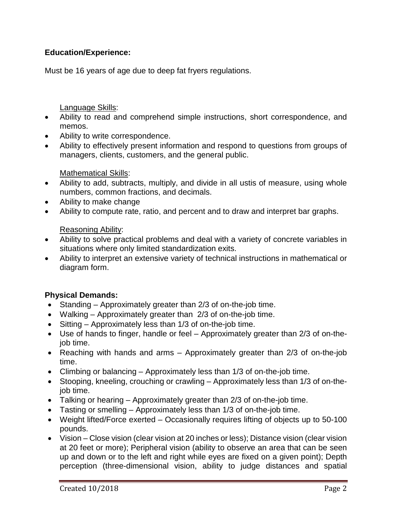### **Education/Experience:**

Must be 16 years of age due to deep fat fryers regulations.

#### Language Skills:

- Ability to read and comprehend simple instructions, short correspondence, and memos.
- Ability to write correspondence.
- Ability to effectively present information and respond to questions from groups of managers, clients, customers, and the general public.

#### Mathematical Skills:

- Ability to add, subtracts, multiply, and divide in all ustis of measure, using whole numbers, common fractions, and decimals.
- Ability to make change
- Ability to compute rate, ratio, and percent and to draw and interpret bar graphs.

#### Reasoning Ability:

- Ability to solve practical problems and deal with a variety of concrete variables in situations where only limited standardization exits.
- Ability to interpret an extensive variety of technical instructions in mathematical or diagram form.

#### **Physical Demands:**

- Standing Approximately greater than 2/3 of on-the-job time.
- Walking Approximately greater than 2/3 of on-the-job time.
- Sitting Approximately less than 1/3 of on-the-job time.
- Use of hands to finger, handle or feel Approximately greater than 2/3 of on-thejob time.
- Reaching with hands and arms Approximately greater than 2/3 of on-the-job time.
- Climbing or balancing Approximately less than 1/3 of on-the-job time.
- Stooping, kneeling, crouching or crawling Approximately less than 1/3 of on-thejob time.
- Talking or hearing Approximately greater than 2/3 of on-the-job time.
- Tasting or smelling Approximately less than 1/3 of on-the-job time.
- Weight lifted/Force exerted Occasionally requires lifting of objects up to 50-100 pounds.
- Vision Close vision (clear vision at 20 inches or less); Distance vision (clear vision at 20 feet or more); Peripheral vision (ability to observe an area that can be seen up and down or to the left and right while eyes are fixed on a given point); Depth perception (three-dimensional vision, ability to judge distances and spatial